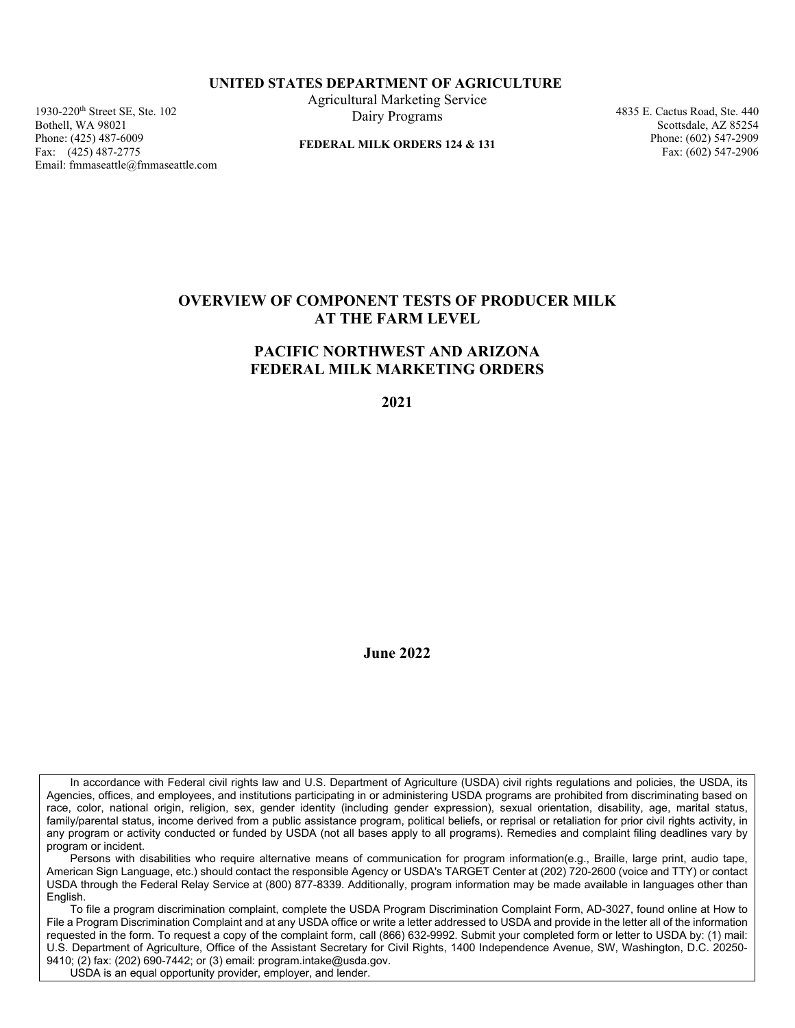#### **UNITED STATES DEPARTMENT OF AGRICULTURE**

1930-220th Street SE, Ste. 102 Bothell, WA 98021 Phone: (425) 487-6009 Fax: (425) 487-2775 Email: fmmaseattle@fmmaseattle.com  Agricultural Marketing Service Dairy Programs

 **FEDERAL MILK ORDERS 124 & 131** 

4835 E. Cactus Road, Ste. 440 Scottsdale, AZ 85254 Phone: (602) 547-2909 Fax: (602) 547-2906

## **OVERVIEW OF COMPONENT TESTS OF PRODUCER MILK AT THE FARM LEVEL**

### **PACIFIC NORTHWEST AND ARIZONA FEDERAL MILK MARKETING ORDERS**

**2021** 

**June 2022** 

In accordance with Federal civil rights law and U.S. Department of Agriculture (USDA) civil rights regulations and policies, the USDA, its Agencies, offices, and employees, and institutions participating in or administering USDA programs are prohibited from discriminating based on race, color, national origin, religion, sex, gender identity (including gender expression), sexual orientation, disability, age, marital status, family/parental status, income derived from a public assistance program, political beliefs, or reprisal or retaliation for prior civil rights activity, in any program or activity conducted or funded by USDA (not all bases apply to all programs). Remedies and complaint filing deadlines vary by program or incident.

Persons with disabilities who require alternative means of communication for program information(e.g., Braille, large print, audio tape, American Sign Language, etc.) should contact the responsible Agency or USDA's TARGET Center at (202) 720-2600 (voice and TTY) or contact USDA through the Federal Relay Service at (800) 877-8339. Additionally, program information may be made available in languages other than English.

To file a program discrimination complaint, complete the USDA Program Discrimination Complaint Form, AD-3027, found online at How to File a Program Discrimination Complaint and at any USDA office or write a letter addressed to USDA and provide in the letter all of the information requested in the form. To request a copy of the complaint form, call (866) 632-9992. Submit your completed form or letter to USDA by: (1) mail: U.S. Department of Agriculture, Office of the Assistant Secretary for Civil Rights, 1400 Independence Avenue, SW, Washington, D.C. 20250- 9410; (2) fax: (202) 690-7442; or (3) email: program.intake@usda.gov.

USDA is an equal opportunity provider, employer, and lender.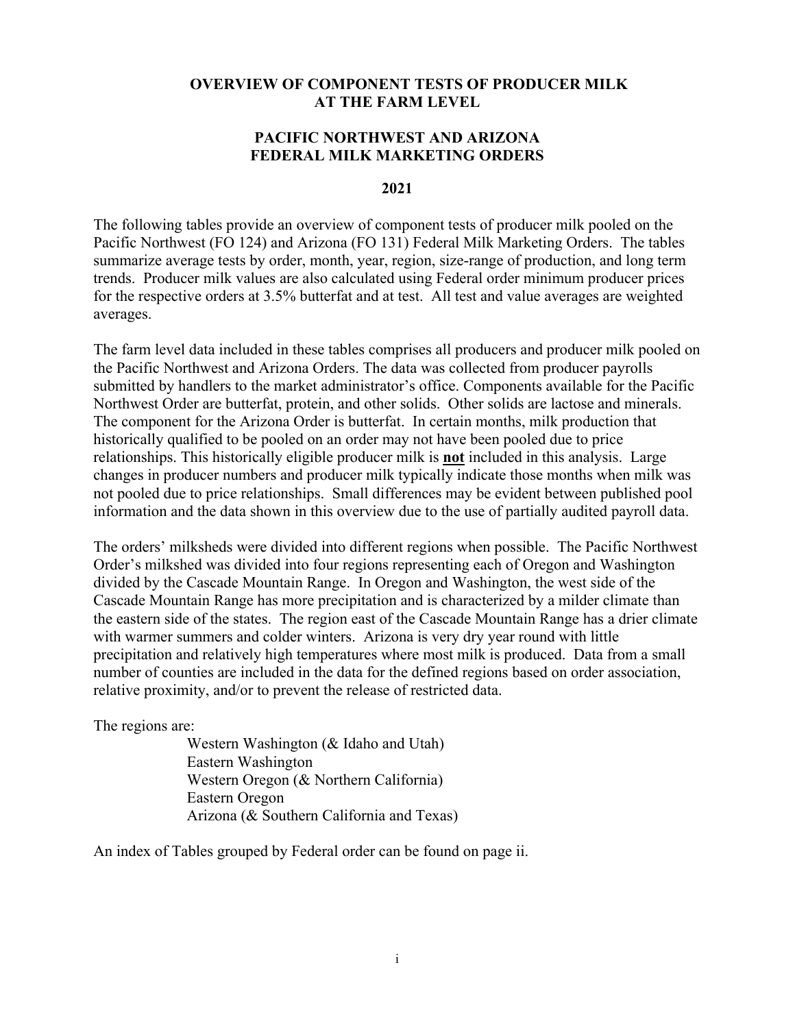#### **OVERVIEW OF COMPONENT TESTS OF PRODUCER MILK AT THE FARM LEVEL**

#### **PACIFIC NORTHWEST AND ARIZONA FEDERAL MILK MARKETING ORDERS**

#### **2021**

The following tables provide an overview of component tests of producer milk pooled on the Pacific Northwest (FO 124) and Arizona (FO 131) Federal Milk Marketing Orders. The tables summarize average tests by order, month, year, region, size-range of production, and long term trends. Producer milk values are also calculated using Federal order minimum producer prices for the respective orders at 3.5% butterfat and at test. All test and value averages are weighted averages.

The farm level data included in these tables comprises all producers and producer milk pooled on the Pacific Northwest and Arizona Orders. The data was collected from producer payrolls submitted by handlers to the market administrator's office. Components available for the Pacific Northwest Order are butterfat, protein, and other solids. Other solids are lactose and minerals. The component for the Arizona Order is butterfat. In certain months, milk production that historically qualified to be pooled on an order may not have been pooled due to price relationships. This historically eligible producer milk is **not** included in this analysis. Large changes in producer numbers and producer milk typically indicate those months when milk was not pooled due to price relationships. Small differences may be evident between published pool information and the data shown in this overview due to the use of partially audited payroll data.

The orders' milksheds were divided into different regions when possible. The Pacific Northwest Order's milkshed was divided into four regions representing each of Oregon and Washington divided by the Cascade Mountain Range. In Oregon and Washington, the west side of the Cascade Mountain Range has more precipitation and is characterized by a milder climate than the eastern side of the states. The region east of the Cascade Mountain Range has a drier climate with warmer summers and colder winters. Arizona is very dry year round with little precipitation and relatively high temperatures where most milk is produced. Data from a small number of counties are included in the data for the defined regions based on order association, relative proximity, and/or to prevent the release of restricted data.

The regions are:

Western Washington (& Idaho and Utah) Eastern Washington Western Oregon (& Northern California) Eastern Oregon Arizona (& Southern California and Texas)

An index of Tables grouped by Federal order can be found on page ii.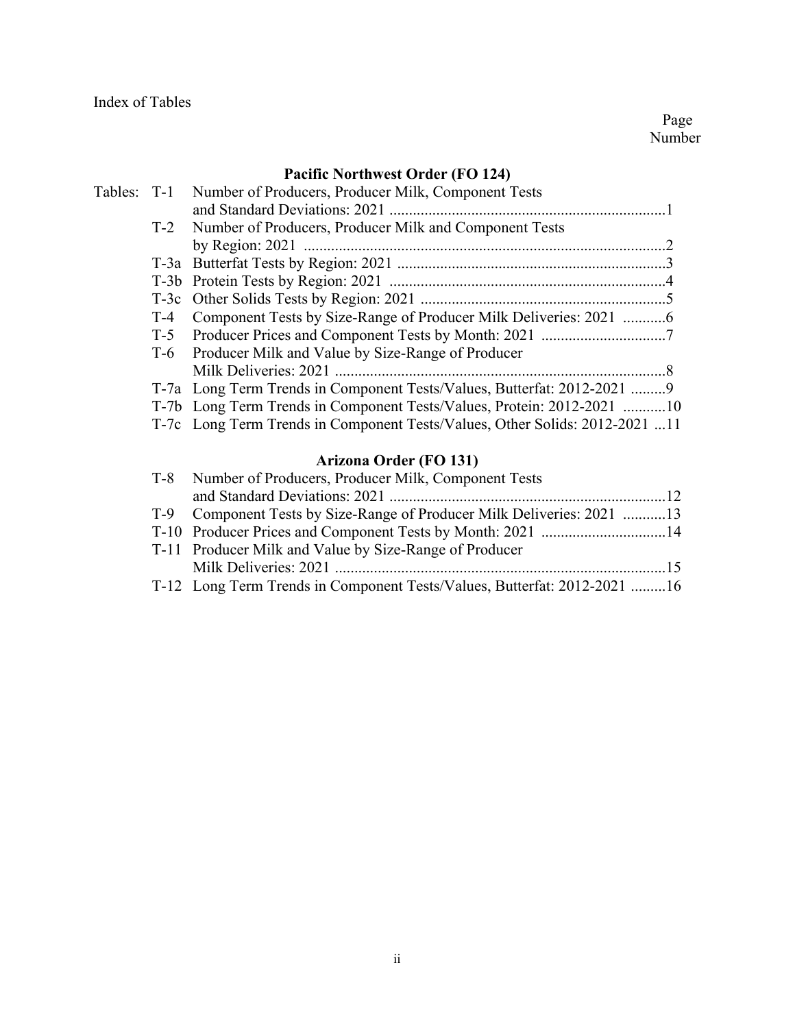Page **Page** Number

# **Pacific Northwest Order (FO 124)**

|     | Tables: T-1 Number of Producers, Producer Milk, Component Tests             |
|-----|-----------------------------------------------------------------------------|
|     |                                                                             |
|     | T-2 Number of Producers, Producer Milk and Component Tests                  |
|     |                                                                             |
|     |                                                                             |
|     |                                                                             |
|     |                                                                             |
| T-4 |                                                                             |
|     |                                                                             |
|     | T-6 Producer Milk and Value by Size-Range of Producer                       |
|     |                                                                             |
|     | T-7a Long Term Trends in Component Tests/Values, Butterfat: 2012-2021 9     |
|     | T-7b Long Term Trends in Component Tests/Values, Protein: 2012-2021 10      |
|     | T-7c Long Term Trends in Component Tests/Values, Other Solids: 2012-2021 11 |

# **Arizona Order (FO 131)**

| T-8 Number of Producers, Producer Milk, Component Tests                  |  |
|--------------------------------------------------------------------------|--|
|                                                                          |  |
| T-9 Component Tests by Size-Range of Producer Milk Deliveries: 2021 13   |  |
|                                                                          |  |
| T-11 Producer Milk and Value by Size-Range of Producer                   |  |
|                                                                          |  |
| T-12 Long Term Trends in Component Tests/Values, Butterfat: 2012-2021 16 |  |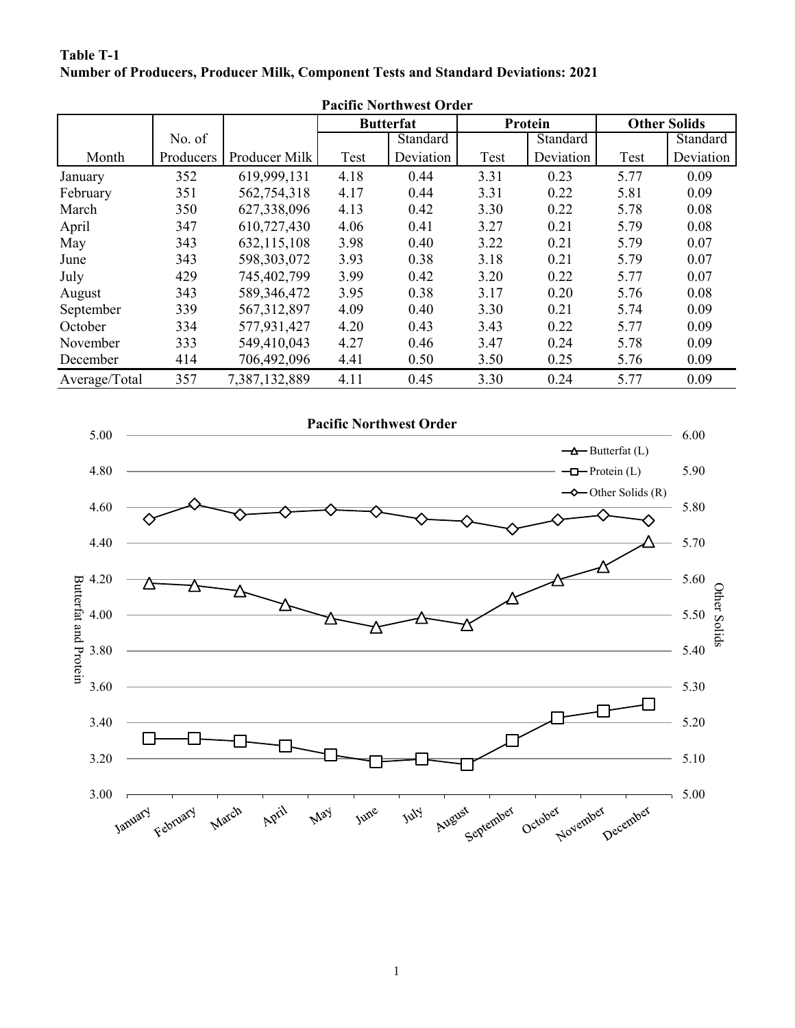| Pacific Northwest Order |           |               |                  |           |         |           |      |                     |  |  |  |
|-------------------------|-----------|---------------|------------------|-----------|---------|-----------|------|---------------------|--|--|--|
|                         |           |               | <b>Butterfat</b> |           | Protein |           |      | <b>Other Solids</b> |  |  |  |
|                         | No. of    |               |                  | Standard  |         | Standard  |      | Standard            |  |  |  |
| Month                   | Producers | Producer Milk | Test             | Deviation | Test    | Deviation | Test | Deviation           |  |  |  |
| January                 | 352       | 619,999,131   | 4.18             | 0.44      | 3.31    | 0.23      | 5.77 | 0.09                |  |  |  |
| February                | 351       | 562,754,318   | 4.17             | 0.44      | 3.31    | 0.22      | 5.81 | 0.09                |  |  |  |
| March                   | 350       | 627,338,096   | 4.13             | 0.42      | 3.30    | 0.22      | 5.78 | 0.08                |  |  |  |
| April                   | 347       | 610,727,430   | 4.06             | 0.41      | 3.27    | 0.21      | 5.79 | 0.08                |  |  |  |
| May                     | 343       | 632,115,108   | 3.98             | 0.40      | 3.22    | 0.21      | 5.79 | 0.07                |  |  |  |
| June                    | 343       | 598,303,072   | 3.93             | 0.38      | 3.18    | 0.21      | 5.79 | 0.07                |  |  |  |
| July                    | 429       | 745,402,799   | 3.99             | 0.42      | 3.20    | 0.22      | 5.77 | 0.07                |  |  |  |
| August                  | 343       | 589,346,472   | 3.95             | 0.38      | 3.17    | 0.20      | 5.76 | 0.08                |  |  |  |
| September               | 339       | 567, 312, 897 | 4.09             | 0.40      | 3.30    | 0.21      | 5.74 | 0.09                |  |  |  |
| October                 | 334       | 577,931,427   | 4.20             | 0.43      | 3.43    | 0.22      | 5.77 | 0.09                |  |  |  |
| November                | 333       | 549,410,043   | 4.27             | 0.46      | 3.47    | 0.24      | 5.78 | 0.09                |  |  |  |
| December                | 414       | 706,492,096   | 4.41             | 0.50      | 3.50    | 0.25      | 5.76 | 0.09                |  |  |  |
| Average/Total           | 357       | 7,387,132,889 | 4.11             | 0.45      | 3.30    | 0.24      | 5.77 | 0.09                |  |  |  |

#### **Number of Producers, Producer Milk, Component Tests and Standard Deviations: 2021 Table T-1**



**Pacific Northwest Order**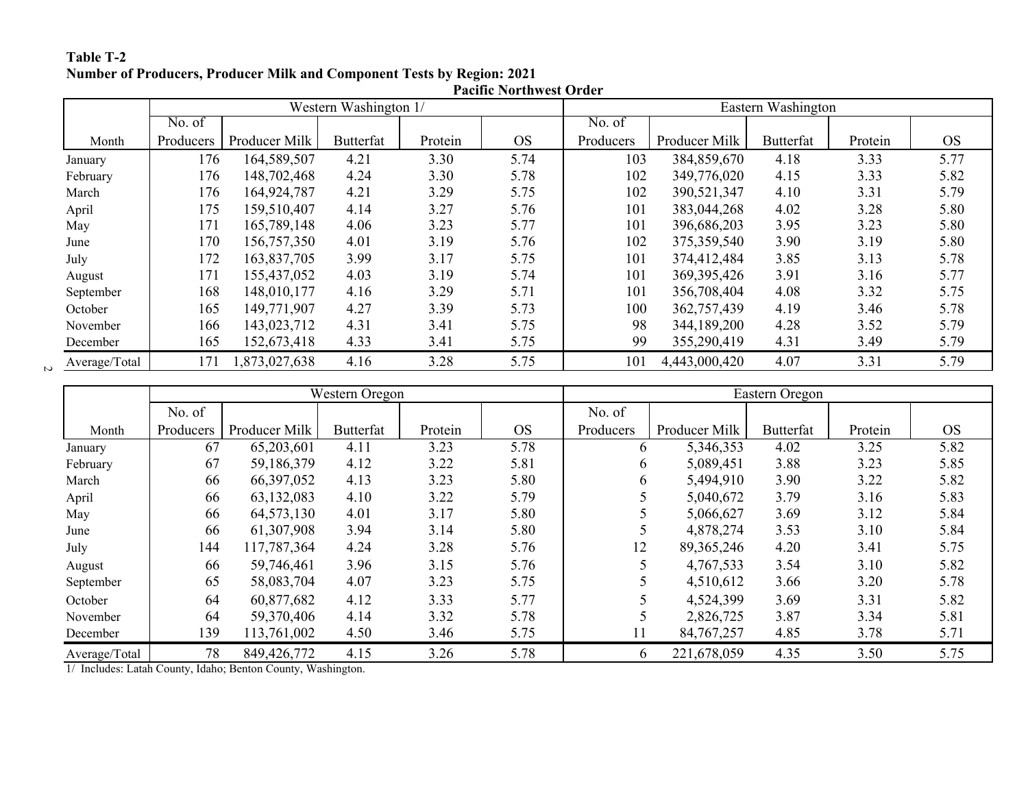#### **Number of Producers, Producer Milk and Component Tests by Region: 2021 Table T-2**

|               | <b>Pacific Northwest Order</b> |               |                  |         |           |                    |               |                  |         |           |  |
|---------------|--------------------------------|---------------|------------------|---------|-----------|--------------------|---------------|------------------|---------|-----------|--|
|               | Western Washington 1/          |               |                  |         |           | Eastern Washington |               |                  |         |           |  |
|               | No. of                         |               |                  |         |           | No. of             |               |                  |         |           |  |
| Month         | Producers                      | Producer Milk | <b>Butterfat</b> | Protein | <b>OS</b> | Producers          | Producer Milk | <b>Butterfat</b> | Protein | <b>OS</b> |  |
| January       | 176                            | 164,589,507   | 4.21             | 3.30    | 5.74      | 103                | 384,859,670   | 4.18             | 3.33    | 5.77      |  |
| February      | 176                            | 148,702,468   | 4.24             | 3.30    | 5.78      | 102                | 349,776,020   | 4.15             | 3.33    | 5.82      |  |
| March         | 176                            | 164,924,787   | 4.21             | 3.29    | 5.75      | 102                | 390,521,347   | 4.10             | 3.31    | 5.79      |  |
| April         | 175                            | 159,510,407   | 4.14             | 3.27    | 5.76      | 101                | 383,044,268   | 4.02             | 3.28    | 5.80      |  |
| May           | 171                            | 165,789,148   | 4.06             | 3.23    | 5.77      | 101                | 396,686,203   | 3.95             | 3.23    | 5.80      |  |
| June          | 170                            | 156,757,350   | 4.01             | 3.19    | 5.76      | 102                | 375,359,540   | 3.90             | 3.19    | 5.80      |  |
| July          | 172                            | 163,837,705   | 3.99             | 3.17    | 5.75      | 101                | 374,412,484   | 3.85             | 3.13    | 5.78      |  |
| August        | 171                            | 155,437,052   | 4.03             | 3.19    | 5.74      | 101                | 369, 395, 426 | 3.91             | 3.16    | 5.77      |  |
| September     | 168                            | 148,010,177   | 4.16             | 3.29    | 5.71      | 101                | 356,708,404   | 4.08             | 3.32    | 5.75      |  |
| October       | 165                            | 149,771,907   | 4.27             | 3.39    | 5.73      | 100                | 362,757,439   | 4.19             | 3.46    | 5.78      |  |
| November      | 166                            | 143,023,712   | 4.31             | 3.41    | 5.75      | 98                 | 344,189,200   | 4.28             | 3.52    | 5.79      |  |
| December      | 165                            | 152,673,418   | 4.33             | 3.41    | 5.75      | 99                 | 355,290,419   | 4.31             | 3.49    | 5.79      |  |
| Average/Total | 171                            | 1,873,027,638 | 4.16             | 3.28    | 5.75      | 101                | 4,443,000,420 | 4.07             | 3.31    | 5.79      |  |

|               |           | Western Oregon |                  |         |           |           | Eastern Oregon |                  |         |           |  |
|---------------|-----------|----------------|------------------|---------|-----------|-----------|----------------|------------------|---------|-----------|--|
|               | No. of    |                |                  |         |           | No. of    |                |                  |         |           |  |
| Month         | Producers | Producer Milk  | <b>Butterfat</b> | Protein | <b>OS</b> | Producers | Producer Milk  | <b>Butterfat</b> | Protein | <b>OS</b> |  |
| January       | 67        | 65,203,601     | 4.11             | 3.23    | 5.78      | 6         | 5,346,353      | 4.02             | 3.25    | 5.82      |  |
| February      | 67        | 59,186,379     | 4.12             | 3.22    | 5.81      | 6         | 5,089,451      | 3.88             | 3.23    | 5.85      |  |
| March         | 66        | 66,397,052     | 4.13             | 3.23    | 5.80      | 6         | 5,494,910      | 3.90             | 3.22    | 5.82      |  |
| April         | 66        | 63,132,083     | 4.10             | 3.22    | 5.79      |           | 5,040,672      | 3.79             | 3.16    | 5.83      |  |
| May           | 66        | 64,573,130     | 4.01             | 3.17    | 5.80      |           | 5,066,627      | 3.69             | 3.12    | 5.84      |  |
| June          | 66        | 61,307,908     | 3.94             | 3.14    | 5.80      |           | 4,878,274      | 3.53             | 3.10    | 5.84      |  |
| July          | 144       | 117,787,364    | 4.24             | 3.28    | 5.76      | 12        | 89, 365, 246   | 4.20             | 3.41    | 5.75      |  |
| August        | 66        | 59,746,461     | 3.96             | 3.15    | 5.76      |           | 4,767,533      | 3.54             | 3.10    | 5.82      |  |
| September     | 65        | 58,083,704     | 4.07             | 3.23    | 5.75      |           | 4,510,612      | 3.66             | 3.20    | 5.78      |  |
| October       | 64        | 60,877,682     | 4.12             | 3.33    | 5.77      |           | 4,524,399      | 3.69             | 3.31    | 5.82      |  |
| November      | 64        | 59,370,406     | 4.14             | 3.32    | 5.78      |           | 2,826,725      | 3.87             | 3.34    | 5.81      |  |
| December      | 139       | 113,761,002    | 4.50             | 3.46    | 5.75      | 11        | 84, 767, 257   | 4.85             | 3.78    | 5.71      |  |
| Average/Total | 78        | 849,426,772    | 4.15             | 3.26    | 5.78      | 6         | 221,678,059    | 4.35             | 3.50    | 5.75      |  |

1/ Includes: Latah County, Idaho; Benton County, Washington.

 $\mathfrak{p}$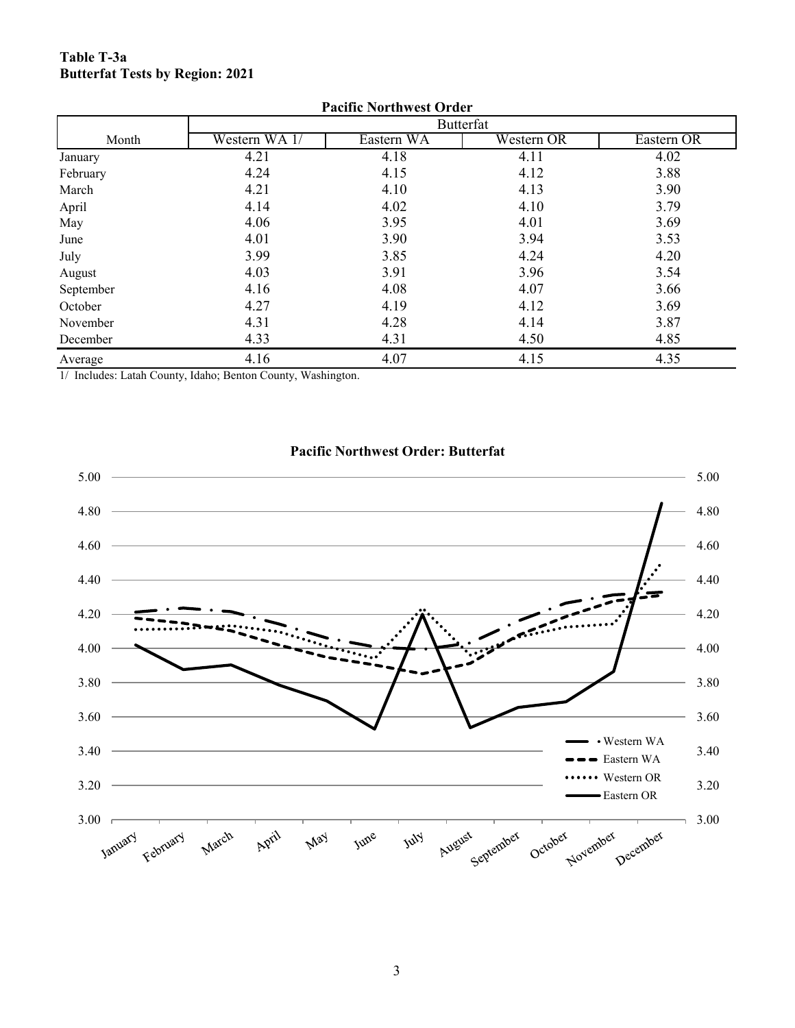#### **Table T-3a Butterfat Tests by Region: 2021**

| <b>Pacific Northwest Order</b> |               |            |            |            |  |  |  |  |  |  |
|--------------------------------|---------------|------------|------------|------------|--|--|--|--|--|--|
|                                |               |            | Butterfat  |            |  |  |  |  |  |  |
| Month                          | Western WA 1/ | Eastern WA | Western OR | Eastern OR |  |  |  |  |  |  |
| January                        | 4.21          | 4.18       | 4.11       | 4.02       |  |  |  |  |  |  |
| February                       | 4.24          | 4.15       | 4.12       | 3.88       |  |  |  |  |  |  |
| March                          | 4.21          | 4.10       | 4.13       | 3.90       |  |  |  |  |  |  |
| April                          | 4.14          | 4.02       | 4.10       | 3.79       |  |  |  |  |  |  |
| May                            | 4.06          | 3.95       | 4.01       | 3.69       |  |  |  |  |  |  |
| June                           | 4.01          | 3.90       | 3.94       | 3.53       |  |  |  |  |  |  |
| July                           | 3.99          | 3.85       | 4.24       | 4.20       |  |  |  |  |  |  |
| August                         | 4.03          | 3.91       | 3.96       | 3.54       |  |  |  |  |  |  |
| September                      | 4.16          | 4.08       | 4.07       | 3.66       |  |  |  |  |  |  |
| October                        | 4.27          | 4.19       | 4.12       | 3.69       |  |  |  |  |  |  |
| November                       | 4.31          | 4.28       | 4.14       | 3.87       |  |  |  |  |  |  |
| December                       | 4.33          | 4.31       | 4.50       | 4.85       |  |  |  |  |  |  |
| Average                        | 4.16          | 4.07       | 4.15       | 4.35       |  |  |  |  |  |  |

1/ Includes: Latah County, Idaho; Benton County, Washington.



#### **Pacific Northwest Order: Butterfat**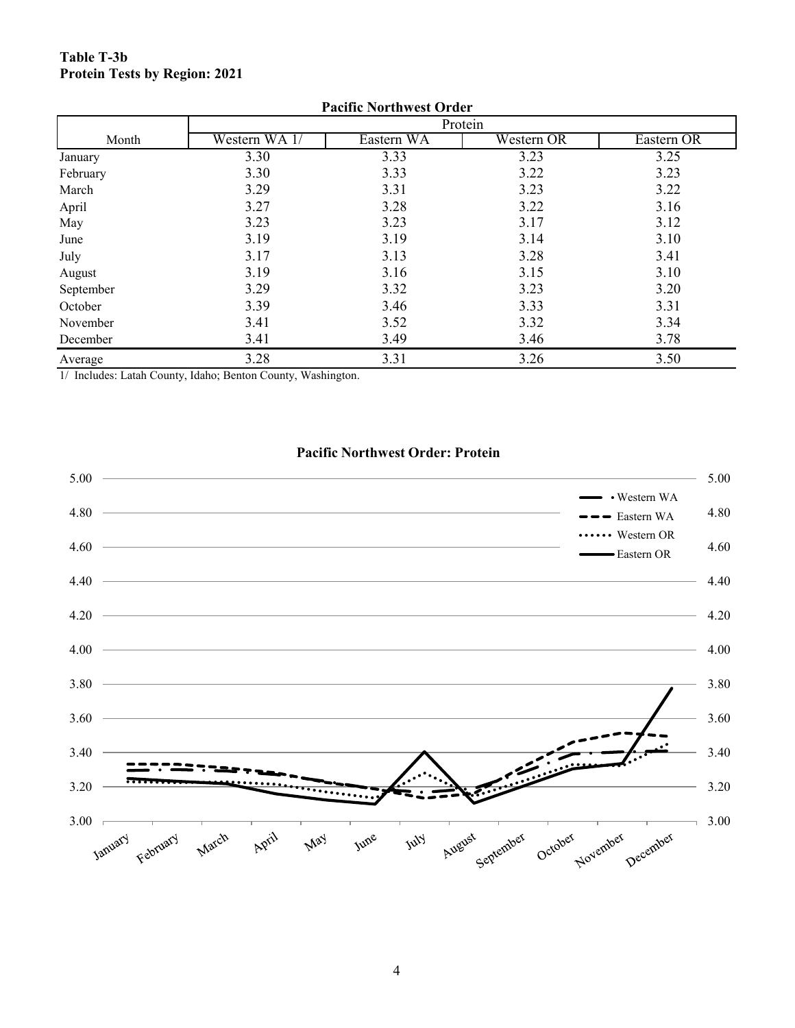#### **Table T-3b Protein Tests by Region: 2021**

| <b>Pacific Northwest Order</b> |               |            |            |            |  |  |  |  |  |  |
|--------------------------------|---------------|------------|------------|------------|--|--|--|--|--|--|
|                                |               |            | Protein    |            |  |  |  |  |  |  |
| Month                          | Western WA 1/ | Eastern WA | Western OR | Eastern OR |  |  |  |  |  |  |
| January                        | 3.30          | 3.33       | 3.23       | 3.25       |  |  |  |  |  |  |
| February                       | 3.30          | 3.33       | 3.22       | 3.23       |  |  |  |  |  |  |
| March                          | 3.29          | 3.31       | 3.23       | 3.22       |  |  |  |  |  |  |
| April                          | 3.27          | 3.28       | 3.22       | 3.16       |  |  |  |  |  |  |
| May                            | 3.23          | 3.23       | 3.17       | 3.12       |  |  |  |  |  |  |
| June                           | 3.19          | 3.19       | 3.14       | 3.10       |  |  |  |  |  |  |
| July                           | 3.17          | 3.13       | 3.28       | 3.41       |  |  |  |  |  |  |
| August                         | 3.19          | 3.16       | 3.15       | 3.10       |  |  |  |  |  |  |
| September                      | 3.29          | 3.32       | 3.23       | 3.20       |  |  |  |  |  |  |
| October                        | 3.39          | 3.46       | 3.33       | 3.31       |  |  |  |  |  |  |
| November                       | 3.41          | 3.52       | 3.32       | 3.34       |  |  |  |  |  |  |
| December                       | 3.41          | 3.49       | 3.46       | 3.78       |  |  |  |  |  |  |
| Average                        | 3.28          | 3.31       | 3.26       | 3.50       |  |  |  |  |  |  |

1/ Includes: Latah County, Idaho; Benton County, Washington.

## **Pacific Northwest Order: Protein**

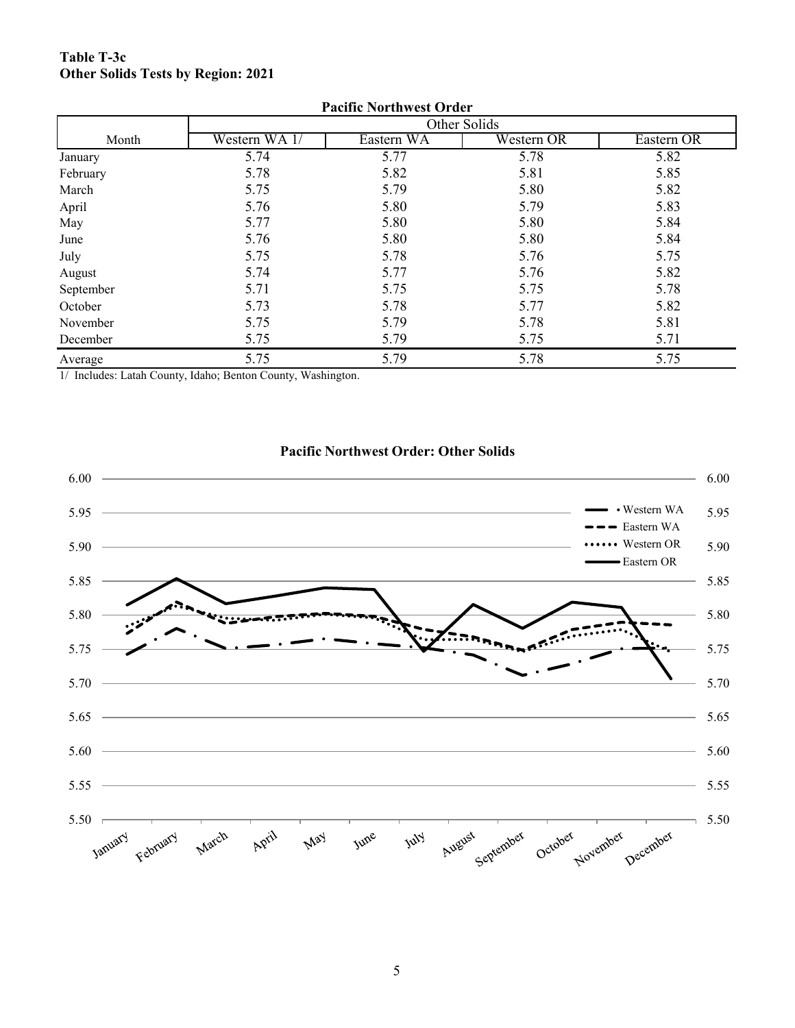#### **Table T-3c Other Solids Tests by Region: 2021**

| Pacific Northwest Order |               |              |            |            |  |  |  |  |  |  |  |
|-------------------------|---------------|--------------|------------|------------|--|--|--|--|--|--|--|
|                         |               | Other Solids |            |            |  |  |  |  |  |  |  |
| Month                   | Western WA 1/ | Eastern WA   | Western OR | Eastern OR |  |  |  |  |  |  |  |
| January                 | 5.74          | 5.77         | 5.78       | 5.82       |  |  |  |  |  |  |  |
| February                | 5.78          | 5.82         | 5.81       | 5.85       |  |  |  |  |  |  |  |
| March                   | 5.75          | 5.79         | 5.80       | 5.82       |  |  |  |  |  |  |  |
| April                   | 5.76          | 5.80         | 5.79       | 5.83       |  |  |  |  |  |  |  |
| May                     | 5.77          | 5.80         | 5.80       | 5.84       |  |  |  |  |  |  |  |
| June                    | 5.76          | 5.80         | 5.80       | 5.84       |  |  |  |  |  |  |  |
| July                    | 5.75          | 5.78         | 5.76       | 5.75       |  |  |  |  |  |  |  |
| August                  | 5.74          | 5.77         | 5.76       | 5.82       |  |  |  |  |  |  |  |
| September               | 5.71          | 5.75         | 5.75       | 5.78       |  |  |  |  |  |  |  |
| October                 | 5.73          | 5.78         | 5.77       | 5.82       |  |  |  |  |  |  |  |
| November                | 5.75          | 5.79         | 5.78       | 5.81       |  |  |  |  |  |  |  |
| December                | 5.75          | 5.79         | 5.75       | 5.71       |  |  |  |  |  |  |  |
| Average                 | 5.75          | 5.79         | 5.78       | 5.75       |  |  |  |  |  |  |  |

**Pacific Northwest Order**

1/ Includes: Latah County, Idaho; Benton County, Washington.



#### **Pacific Northwest Order: Other Solids**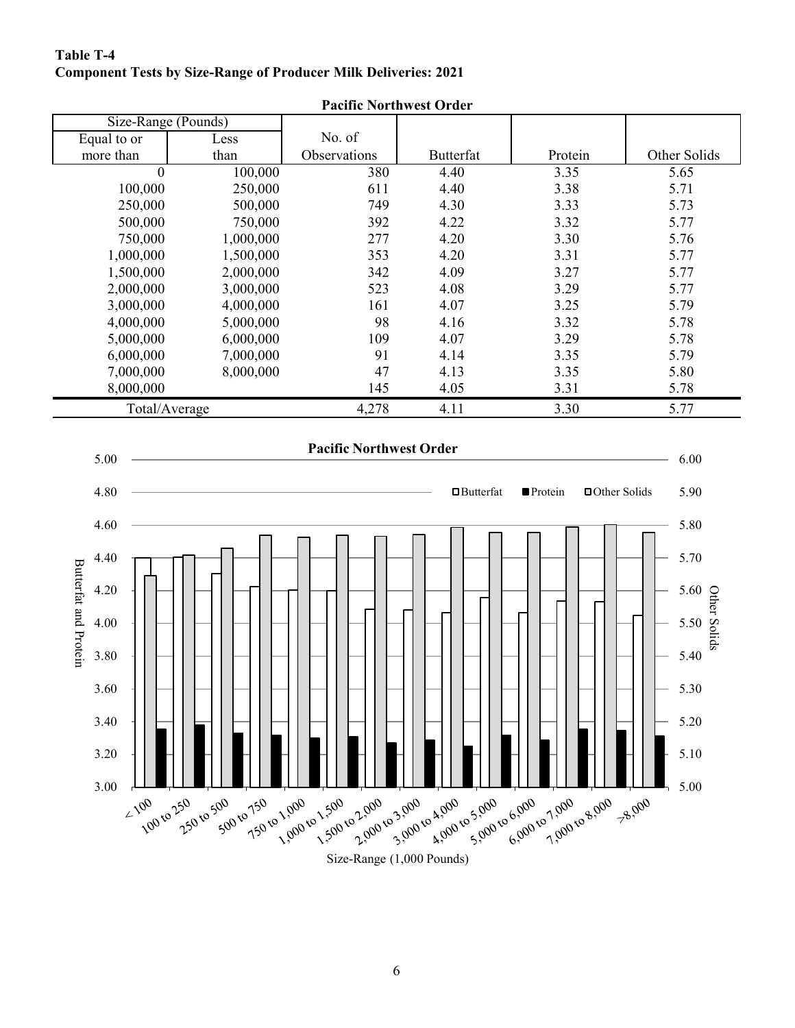#### **Component Tests by Size-Range of Producer Milk Deliveries: 2021 Table T-4**

|                                                               |                     | <b>FACILIC INOFULWEST OFTER</b> |                  |                                  |                                                                          |
|---------------------------------------------------------------|---------------------|---------------------------------|------------------|----------------------------------|--------------------------------------------------------------------------|
|                                                               | Size-Range (Pounds) |                                 |                  |                                  |                                                                          |
| Equal to or                                                   | Less                | No. of                          |                  |                                  |                                                                          |
| more than                                                     | than                | Observations                    | Butterfat        | Protein                          | Other Solids                                                             |
| $\overline{0}$                                                | 100,000             | 380                             | 4.40             | 3.35                             | 5.65                                                                     |
| 100,000                                                       | 250,000             | 611                             | 4.40             | 3.38                             | 5.71                                                                     |
| 250,000                                                       | 500,000             | 749                             | 4.30             | 3.33                             | 5.73                                                                     |
| 500,000                                                       | 750,000             | 392                             | 4.22             | 3.32                             | 5.77                                                                     |
| 750,000                                                       | 1,000,000           | 277                             | 4.20             | 3.30                             | 5.76                                                                     |
| 1,000,000                                                     | 1,500,000           | 353                             | 4.20             | 3.31                             | 5.77                                                                     |
| 1,500,000                                                     | 2,000,000           | 342                             | 4.09             | 3.27                             | 5.77                                                                     |
| 2,000,000                                                     | 3,000,000           | 523                             | 4.08             | 3.29                             | 5.77                                                                     |
| 3,000,000                                                     | 4,000,000           | 161                             | 4.07             | 3.25                             | 5.79                                                                     |
| 4,000,000                                                     | 5,000,000           | 98                              | 4.16             | 3.32                             | 5.78                                                                     |
| 5,000,000                                                     | 6,000,000           | 109                             | 4.07             | 3.29                             | 5.78                                                                     |
| 6,000,000                                                     | 7,000,000           | 91                              | 4.14             | 3.35                             | 5.79                                                                     |
| 7,000,000                                                     | 8,000,000           | 47                              | 4.13             | 3.35                             | 5.80                                                                     |
| 8,000,000                                                     |                     | 145                             | 4.05             | 3.31                             | 5.78                                                                     |
|                                                               | Total/Average       | 4,278                           | 4.11             | 3.30                             | 5.77                                                                     |
| 4.80<br>4.60<br>4.40<br>Butterfat and Protein<br>4.20<br>4.00 |                     |                                 | $\Box$ Butterfat | <b>Protein</b><br>□ Other Solids | 5.90<br>5.80<br>5.70<br>5.60 $\frac{1}{2}$<br>5.50 $\frac{1}{2}$<br>5.40 |
| 3.80<br>3.60<br>3.40<br>3.20                                  |                     |                                 |                  |                                  | 5.40<br>5.30<br>5.20<br>5.10                                             |
|                                                               |                     |                                 |                  |                                  |                                                                          |

**Pacific Northwest Order**

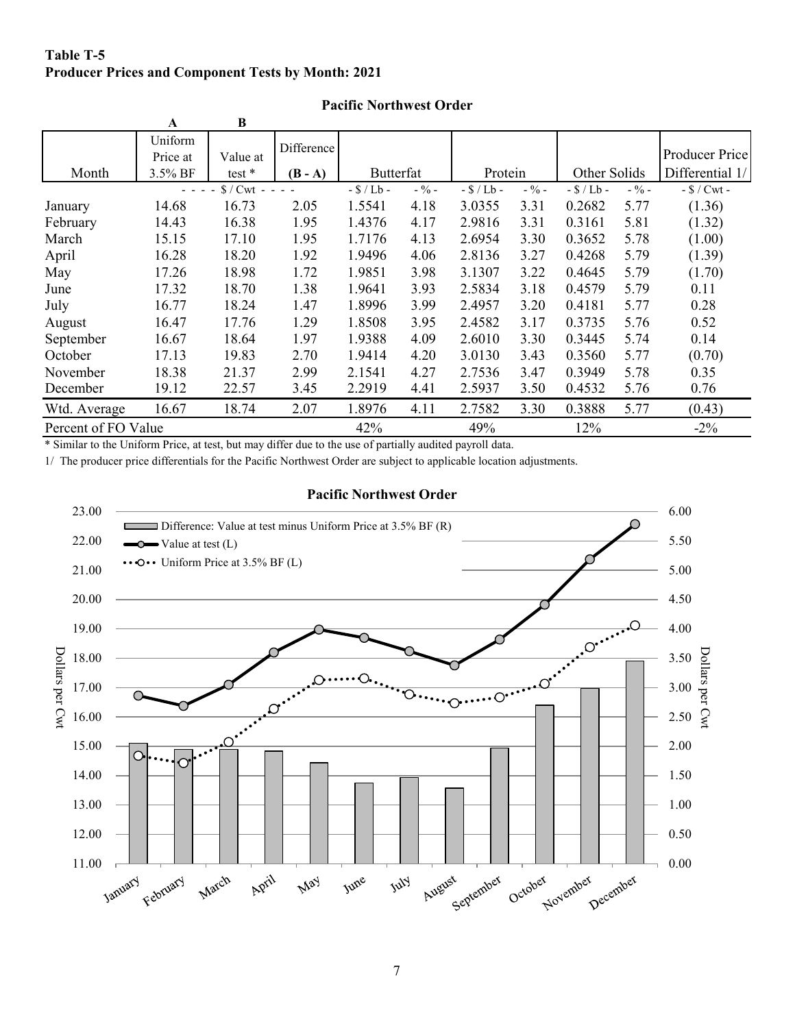#### **Table T-5 Producer Prices and Component Tests by Month: 2021**

|                     | A        | B         |            |           |         |           |         |              |         |                       |
|---------------------|----------|-----------|------------|-----------|---------|-----------|---------|--------------|---------|-----------------------|
|                     | Uniform  |           | Difference |           |         |           |         |              |         |                       |
|                     | Price at | Value at  |            |           |         |           |         |              |         | <b>Producer Price</b> |
| Month               | 3.5% BF  | test $*$  | $(B - A)$  | Butterfat |         | Protein   |         | Other Solids |         | Differential 1/       |
|                     |          | $S/Cwt -$ |            | $-S/Lb$ - | $-$ % - | $-S/Lb -$ | $-$ % – | $-S/Lb$ -    | $-$ % – | $-$ \$ / Cwt -        |
| January             | 14.68    | 16.73     | 2.05       | 1.5541    | 4.18    | 3.0355    | 3.31    | 0.2682       | 5.77    | (1.36)                |
| February            | 14.43    | 16.38     | 1.95       | 1.4376    | 4.17    | 2.9816    | 3.31    | 0.3161       | 5.81    | (1.32)                |
| March               | 15.15    | 17.10     | 1.95       | 1.7176    | 4.13    | 2.6954    | 3.30    | 0.3652       | 5.78    | (1.00)                |
| April               | 16.28    | 18.20     | 1.92       | 1.9496    | 4.06    | 2.8136    | 3.27    | 0.4268       | 5.79    | (1.39)                |
| May                 | 17.26    | 18.98     | 1.72       | 1.9851    | 3.98    | 3.1307    | 3.22    | 0.4645       | 5.79    | (1.70)                |
| June                | 17.32    | 18.70     | 1.38       | 1.9641    | 3.93    | 2.5834    | 3.18    | 0.4579       | 5.79    | 0.11                  |
| July                | 16.77    | 18.24     | 1.47       | 1.8996    | 3.99    | 2.4957    | 3.20    | 0.4181       | 5.77    | 0.28                  |
| August              | 16.47    | 17.76     | 1.29       | 1.8508    | 3.95    | 2.4582    | 3.17    | 0.3735       | 5.76    | 0.52                  |
| September           | 16.67    | 18.64     | 1.97       | 1.9388    | 4.09    | 2.6010    | 3.30    | 0.3445       | 5.74    | 0.14                  |
| October             | 17.13    | 19.83     | 2.70       | 1.9414    | 4.20    | 3.0130    | 3.43    | 0.3560       | 5.77    | (0.70)                |
| November            | 18.38    | 21.37     | 2.99       | 2.1541    | 4.27    | 2.7536    | 3.47    | 0.3949       | 5.78    | 0.35                  |
| December            | 19.12    | 22.57     | 3.45       | 2.2919    | 4.41    | 2.5937    | 3.50    | 0.4532       | 5.76    | 0.76                  |
| Wtd. Average        | 16.67    | 18.74     | 2.07       | 1.8976    | 4.11    | 2.7582    | 3.30    | 0.3888       | 5.77    | (0.43)                |
| Percent of FO Value |          |           |            | 42%       |         | 49%       |         | 12%          |         | $-2\%$                |

#### **Pacific Northwest Order**

\* Similar to the Uniform Price, at test, but may differ due to the use of partially audited payroll data.

1/ The producer price differentials for the Pacific Northwest Order are subject to applicable location adjustments.



#### **Pacific Northwest Order**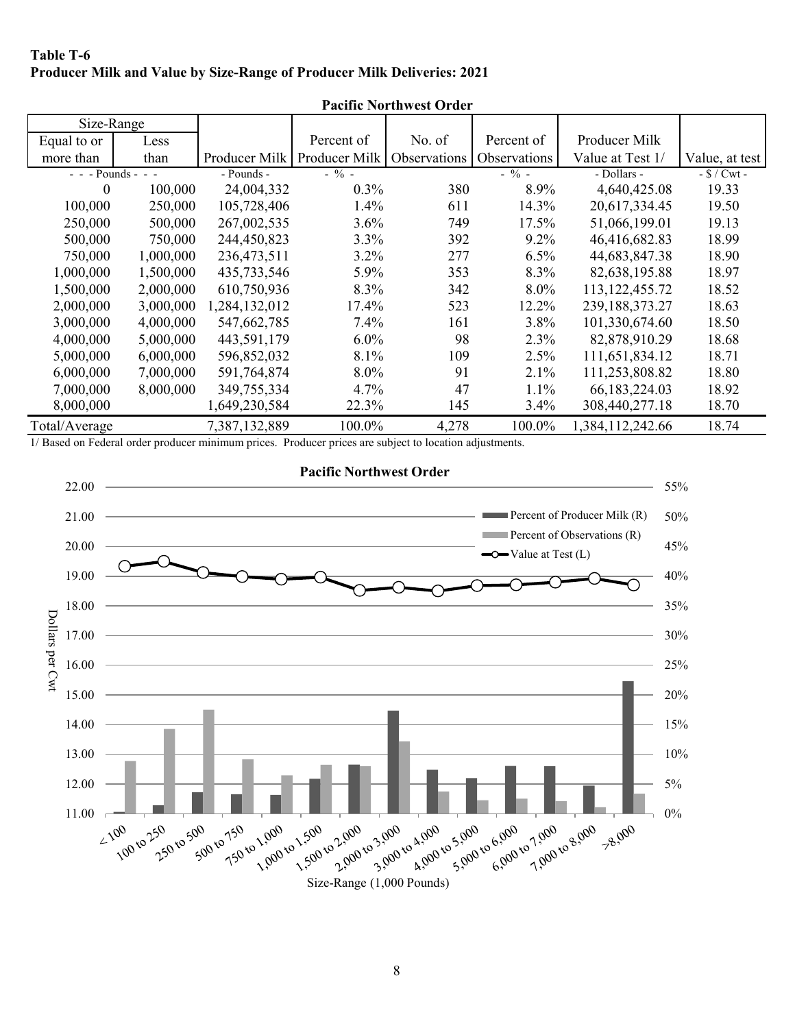#### **Table T-6 Producer Milk and Value by Size-Range of Producer Milk Deliveries: 2021**

|                    | Pacific Northwest Order |               |               |              |              |                   |                |  |  |  |  |
|--------------------|-------------------------|---------------|---------------|--------------|--------------|-------------------|----------------|--|--|--|--|
| Size-Range         |                         |               |               |              |              |                   |                |  |  |  |  |
| Equal to or        | Less                    |               | Percent of    | No. of       | Percent of   | Producer Milk     |                |  |  |  |  |
| more than          | than                    | Producer Milk | Producer Milk | Observations | Observations | Value at Test 1/  | Value, at test |  |  |  |  |
| - - - Pounds - - - |                         | - Pounds -    | $-$ % -       |              | $-$ % -      | - Dollars -       | $-S/Cwt -$     |  |  |  |  |
| $\theta$           | 100,000                 | 24,004,332    | $0.3\%$       | 380          | 8.9%         | 4,640,425.08      | 19.33          |  |  |  |  |
| 100,000            | 250,000                 | 105,728,406   | 1.4%          | 611          | 14.3%        | 20,617,334.45     | 19.50          |  |  |  |  |
| 250,000            | 500,000                 | 267,002,535   | 3.6%          | 749          | 17.5%        | 51,066,199.01     | 19.13          |  |  |  |  |
| 500,000            | 750,000                 | 244,450,823   | $3.3\%$       | 392          | $9.2\%$      | 46,416,682.83     | 18.99          |  |  |  |  |
| 750,000            | 1,000,000               | 236,473,511   | $3.2\%$       | 277          | 6.5%         | 44,683,847.38     | 18.90          |  |  |  |  |
| 1,000,000          | 1,500,000               | 435,733,546   | 5.9%          | 353          | 8.3%         | 82,638,195.88     | 18.97          |  |  |  |  |
| 1,500,000          | 2,000,000               | 610,750,936   | 8.3%          | 342          | $8.0\%$      | 113, 122, 455. 72 | 18.52          |  |  |  |  |
| 2,000,000          | 3,000,000               | 1,284,132,012 | 17.4%         | 523          | 12.2%        | 239,188,373.27    | 18.63          |  |  |  |  |
| 3,000,000          | 4,000,000               | 547,662,785   | 7.4%          | 161          | 3.8%         | 101,330,674.60    | 18.50          |  |  |  |  |
| 4,000,000          | 5,000,000               | 443,591,179   | $6.0\%$       | 98           | 2.3%         | 82,878,910.29     | 18.68          |  |  |  |  |
| 5,000,000          | 6,000,000               | 596,852,032   | 8.1%          | 109          | 2.5%         | 111,651,834.12    | 18.71          |  |  |  |  |
| 6,000,000          | 7,000,000               | 591,764,874   | 8.0%          | 91           | 2.1%         | 111,253,808.82    | 18.80          |  |  |  |  |
| 7,000,000          | 8,000,000               | 349,755,334   | $4.7\%$       | 47           | $1.1\%$      | 66, 183, 224. 03  | 18.92          |  |  |  |  |
| 8,000,000          |                         | 1,649,230,584 | 22.3%         | 145          | 3.4%         | 308,440,277.18    | 18.70          |  |  |  |  |
| Total/Average      |                         | 7,387,132,889 | 100.0%        | 4,278        | 100.0%       | 1,384,112,242.66  | 18.74          |  |  |  |  |

**Pacific Northwest Order**

1/ Based on Federal order producer minimum prices. Producer prices are subject to location adjustments.

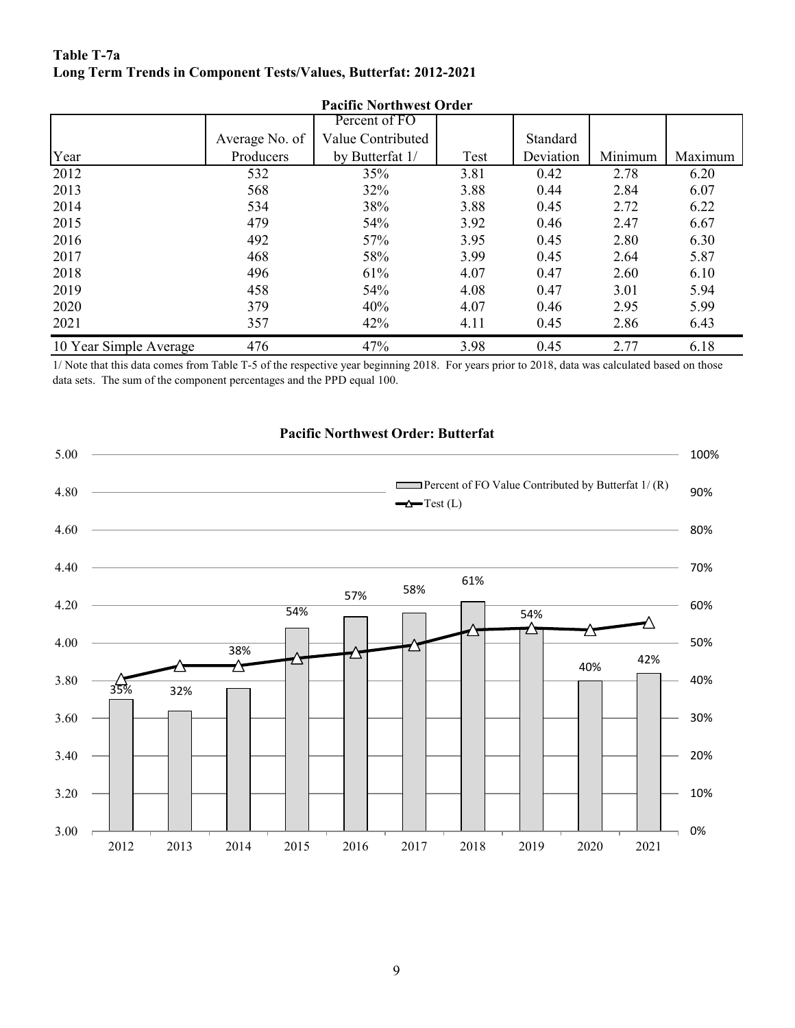#### **Table T-7a Long Term Trends in Component Tests/Values, Butterfat: 2012-2021**

|                        | <b>Pacific Northwest Order</b> |                   |      |           |         |         |  |  |  |  |  |  |
|------------------------|--------------------------------|-------------------|------|-----------|---------|---------|--|--|--|--|--|--|
|                        |                                | Percent of FO     |      |           |         |         |  |  |  |  |  |  |
|                        | Average No. of                 | Value Contributed |      | Standard  |         |         |  |  |  |  |  |  |
| Year                   | Producers                      | by Butterfat 1/   | Test | Deviation | Minimum | Maximum |  |  |  |  |  |  |
| 2012                   | 532                            | 35%               | 3.81 | 0.42      | 2.78    | 6.20    |  |  |  |  |  |  |
| 2013                   | 568                            | 32%               | 3.88 | 0.44      | 2.84    | 6.07    |  |  |  |  |  |  |
| 2014                   | 534                            | 38%               | 3.88 | 0.45      | 2.72    | 6.22    |  |  |  |  |  |  |
| 2015                   | 479                            | 54%               | 3.92 | 0.46      | 2.47    | 6.67    |  |  |  |  |  |  |
| 2016                   | 492                            | 57%               | 3.95 | 0.45      | 2.80    | 6.30    |  |  |  |  |  |  |
| 2017                   | 468                            | 58%               | 3.99 | 0.45      | 2.64    | 5.87    |  |  |  |  |  |  |
| 2018                   | 496                            | 61%               | 4.07 | 0.47      | 2.60    | 6.10    |  |  |  |  |  |  |
| 2019                   | 458                            | 54%               | 4.08 | 0.47      | 3.01    | 5.94    |  |  |  |  |  |  |
| 2020                   | 379                            | 40%               | 4.07 | 0.46      | 2.95    | 5.99    |  |  |  |  |  |  |
| 2021                   | 357                            | 42%               | 4.11 | 0.45      | 2.86    | 6.43    |  |  |  |  |  |  |
| 10 Year Simple Average | 476                            | 47%               | 3.98 | 0.45      | 2.77    | 6.18    |  |  |  |  |  |  |

### **Pacific Northwest Order**

1/ Note that this data comes from Table T-5 of the respective year beginning 2018. For years prior to 2018, data was calculated based on those data sets. The sum of the component percentages and the PPD equal 100.

#### **Pacific Northwest Order: Butterfat**

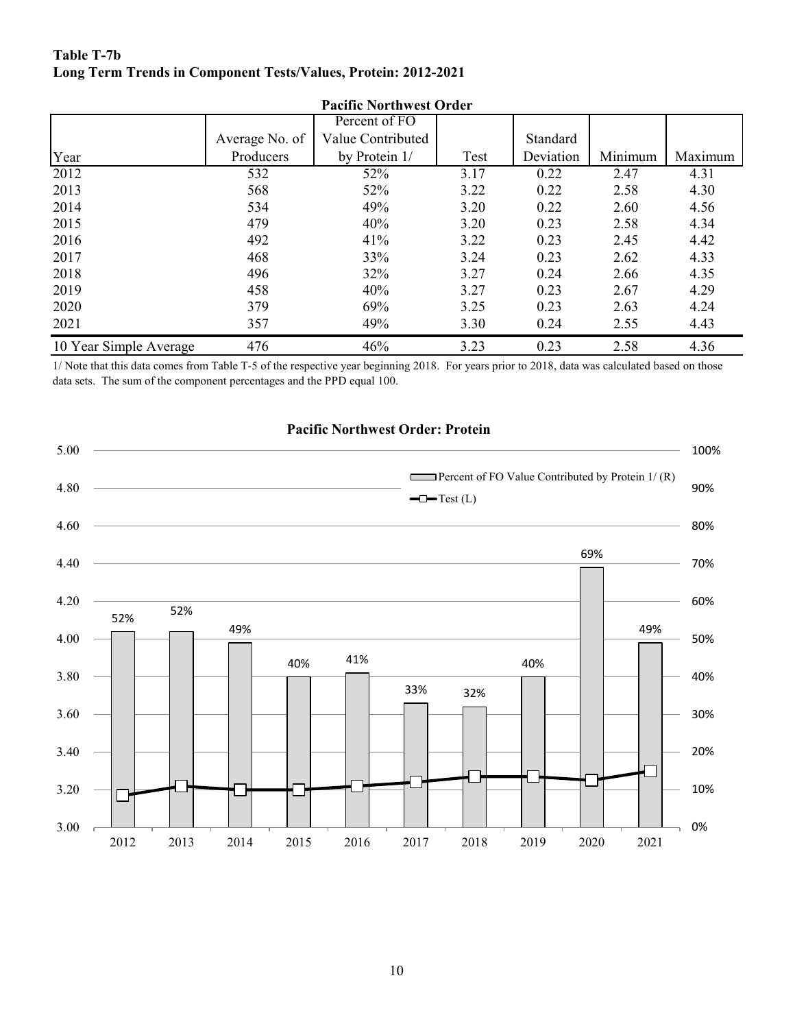#### **Table T-7b Long Term Trends in Component Tests/Values, Protein: 2012-2021**

|                        | Pacific Northwest Order |                   |      |           |         |         |  |  |  |  |
|------------------------|-------------------------|-------------------|------|-----------|---------|---------|--|--|--|--|
|                        |                         | Percent of FO     |      |           |         |         |  |  |  |  |
|                        | Average No. of          | Value Contributed |      | Standard  |         |         |  |  |  |  |
| Year                   | Producers               | by Protein 1/     | Test | Deviation | Minimum | Maximum |  |  |  |  |
| 2012                   | 532                     | 52%               | 3.17 | 0.22      | 2.47    | 4.31    |  |  |  |  |
| 2013                   | 568                     | 52%               | 3.22 | 0.22      | 2.58    | 4.30    |  |  |  |  |
| 2014                   | 534                     | 49%               | 3.20 | 0.22      | 2.60    | 4.56    |  |  |  |  |
| 2015                   | 479                     | 40%               | 3.20 | 0.23      | 2.58    | 4.34    |  |  |  |  |
| 2016                   | 492                     | 41%               | 3.22 | 0.23      | 2.45    | 4.42    |  |  |  |  |
| 2017                   | 468                     | 33%               | 3.24 | 0.23      | 2.62    | 4.33    |  |  |  |  |
| 2018                   | 496                     | 32%               | 3.27 | 0.24      | 2.66    | 4.35    |  |  |  |  |
| 2019                   | 458                     | 40%               | 3.27 | 0.23      | 2.67    | 4.29    |  |  |  |  |
| 2020                   | 379                     | 69%               | 3.25 | 0.23      | 2.63    | 4.24    |  |  |  |  |
| 2021                   | 357                     | 49%               | 3.30 | 0.24      | 2.55    | 4.43    |  |  |  |  |
| 10 Year Simple Average | 476                     | 46%               | 3.23 | 0.23      | 2.58    | 4.36    |  |  |  |  |

**Pacific Northwest Order**

1/ Note that this data comes from Table T-5 of the respective year beginning 2018. For years prior to 2018, data was calculated based on those data sets. The sum of the component percentages and the PPD equal 100.



### **Pacific Northwest Order: Protein**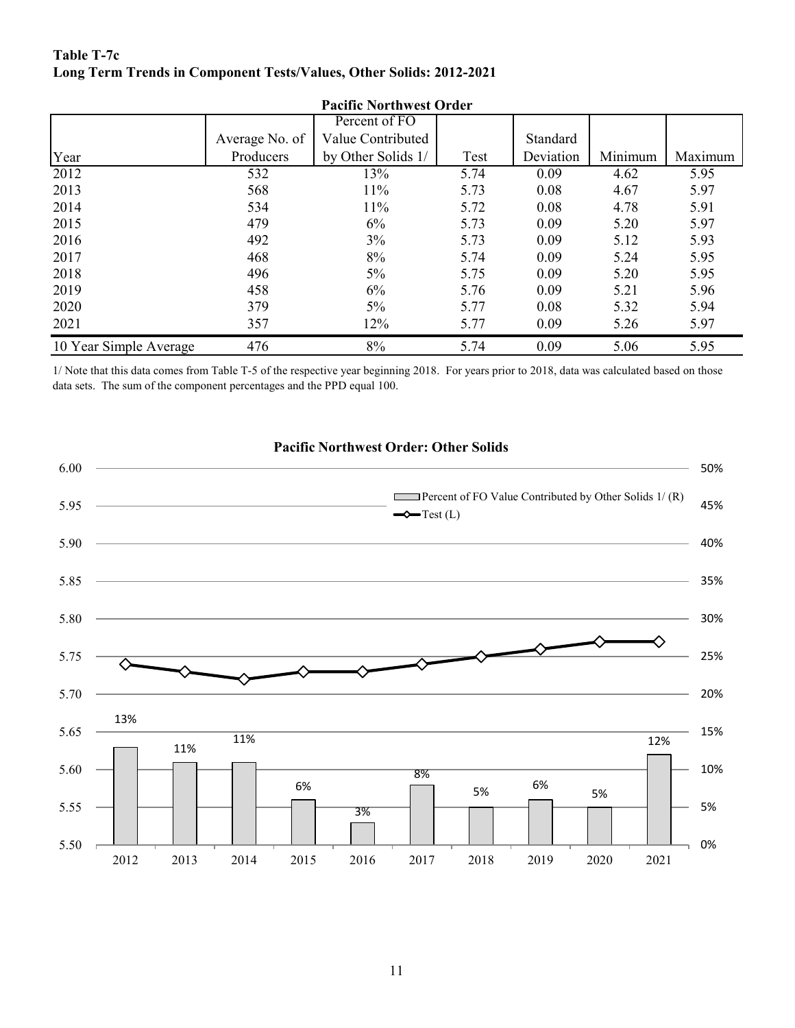#### **Table T-7c Long Term Trends in Component Tests/Values, Other Solids: 2012-2021**

| <b>Pacific Northwest Order</b> |                |                    |      |           |         |         |  |  |  |
|--------------------------------|----------------|--------------------|------|-----------|---------|---------|--|--|--|
|                                |                | Percent of FO      |      |           |         |         |  |  |  |
|                                | Average No. of | Value Contributed  |      | Standard  |         |         |  |  |  |
| Year                           | Producers      | by Other Solids 1/ | Test | Deviation | Minimum | Maximum |  |  |  |
| 2012                           | 532            | 13%                | 5.74 | 0.09      | 4.62    | 5.95    |  |  |  |
| 2013                           | 568            | 11%                | 5.73 | 0.08      | 4.67    | 5.97    |  |  |  |
| 2014                           | 534            | 11%                | 5.72 | 0.08      | 4.78    | 5.91    |  |  |  |
| 2015                           | 479            | 6%                 | 5.73 | 0.09      | 5.20    | 5.97    |  |  |  |
| 2016                           | 492            | 3%                 | 5.73 | 0.09      | 5.12    | 5.93    |  |  |  |
| 2017                           | 468            | 8%                 | 5.74 | 0.09      | 5.24    | 5.95    |  |  |  |
| 2018                           | 496            | 5%                 | 5.75 | 0.09      | 5.20    | 5.95    |  |  |  |
| 2019                           | 458            | 6%                 | 5.76 | 0.09      | 5.21    | 5.96    |  |  |  |
| 2020                           | 379            | 5%                 | 5.77 | 0.08      | 5.32    | 5.94    |  |  |  |
| 2021                           | 357            | 12%                | 5.77 | 0.09      | 5.26    | 5.97    |  |  |  |
| 10 Year Simple Average         | 476            | 8%                 | 5.74 | 0.09      | 5.06    | 5.95    |  |  |  |

1/ Note that this data comes from Table T-5 of the respective year beginning 2018. For years prior to 2018, data was calculated based on those data sets. The sum of the component percentages and the PPD equal 100.



#### **Pacific Northwest Order: Other Solids**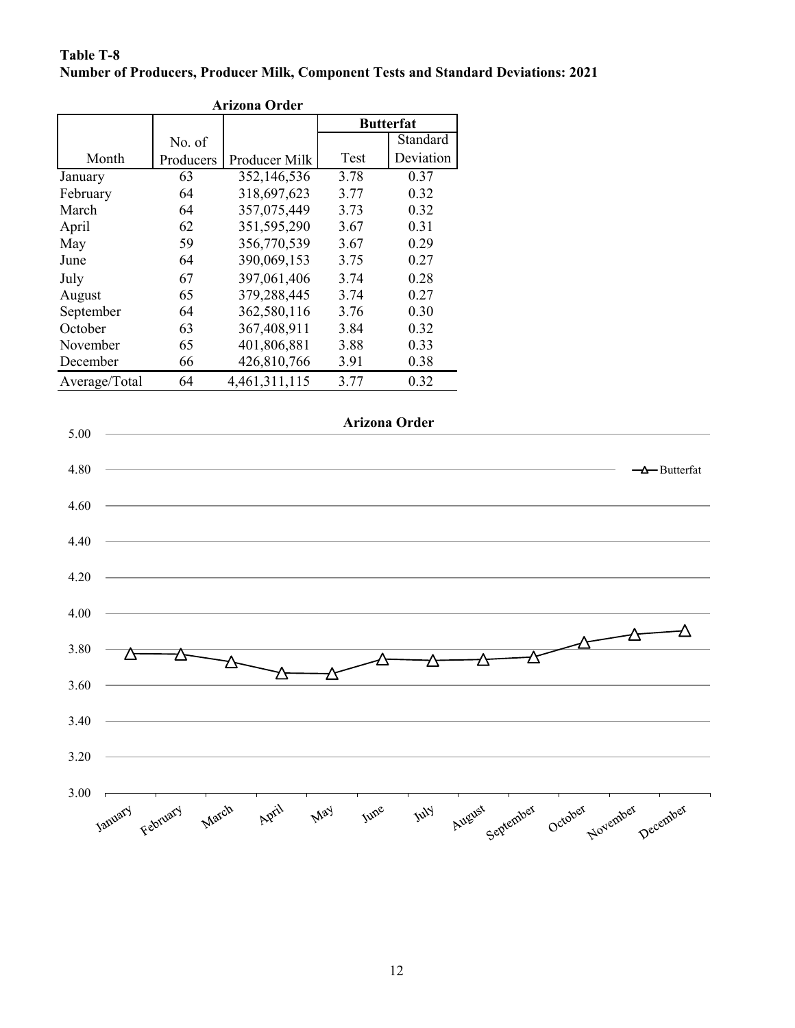#### **Number of Producers, Producer Milk, Component Tests and Standard Deviations: 2021 Table T-8**

| <b>Arizona Order</b> |           |               |                  |           |  |  |  |  |  |
|----------------------|-----------|---------------|------------------|-----------|--|--|--|--|--|
|                      |           |               | <b>Butterfat</b> |           |  |  |  |  |  |
|                      | No. of    |               |                  | Standard  |  |  |  |  |  |
| Month                | Producers | Producer Milk | Test             | Deviation |  |  |  |  |  |
| January              | 63        | 352,146,536   | 3.78             | 0.37      |  |  |  |  |  |
| February             | 64        | 318,697,623   | 3.77             | 0.32      |  |  |  |  |  |
| March                | 64        | 357,075,449   | 3.73             | 0.32      |  |  |  |  |  |
| April                | 62        | 351,595,290   | 3.67             | 0.31      |  |  |  |  |  |
| May                  | 59        | 356,770,539   | 3.67             | 0.29      |  |  |  |  |  |
| June                 | 64        | 390,069,153   | 3.75             | 0.27      |  |  |  |  |  |
| July                 | 67        | 397,061,406   | 3.74             | 0.28      |  |  |  |  |  |
| August               | 65        | 379,288,445   | 3.74             | 0.27      |  |  |  |  |  |
| September            | 64        | 362,580,116   | 3.76             | 0.30      |  |  |  |  |  |
| October              | 63        | 367,408,911   | 3.84             | 0.32      |  |  |  |  |  |
| November             | 65        | 401,806,881   | 3.88             | 0.33      |  |  |  |  |  |
| December             | 66        | 426,810,766   | 3.91             | 0.38      |  |  |  |  |  |
| Average/Total        | 64        | 4,461,311,115 | 3.77             | 0.32      |  |  |  |  |  |

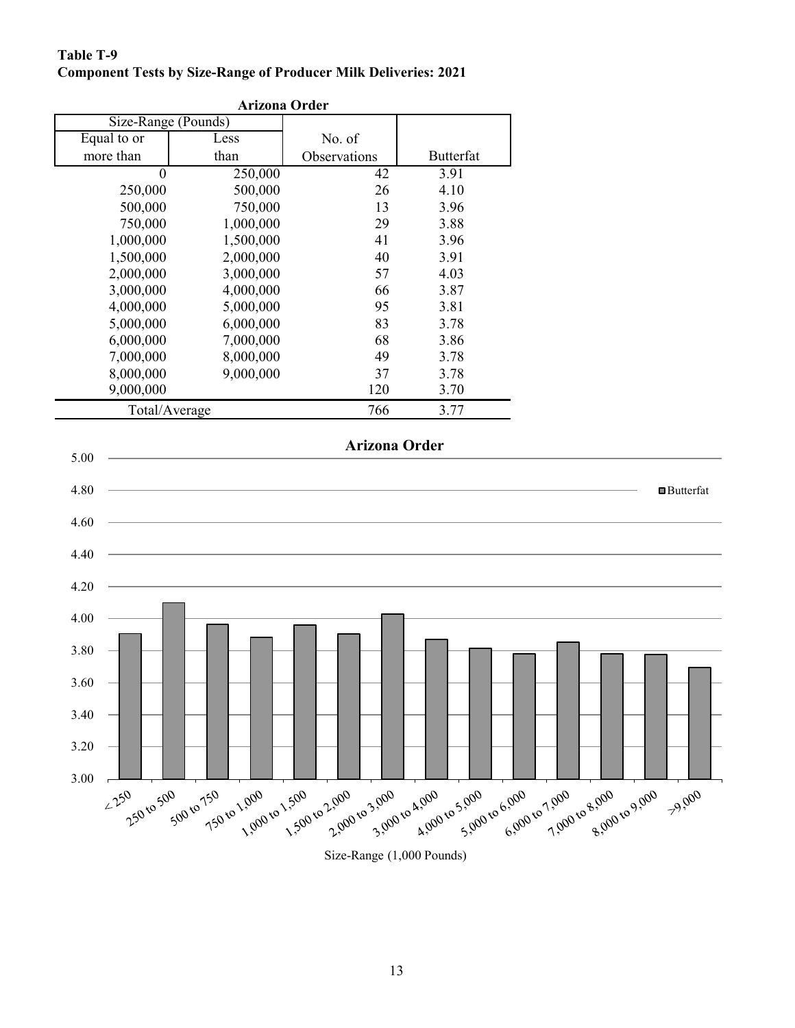## **Table T-9 Component Tests by Size-Range of Producer Milk Deliveries: 2021**

| <b>Arizona Order</b> |           |                      |                  |  |  |  |  |  |
|----------------------|-----------|----------------------|------------------|--|--|--|--|--|
| Size-Range (Pounds)  |           |                      |                  |  |  |  |  |  |
| Equal to or          | Less      | No. of               |                  |  |  |  |  |  |
| more than            | than      | Observations         | <b>Butterfat</b> |  |  |  |  |  |
| $\overline{0}$       | 250,000   | 42                   | 3.91             |  |  |  |  |  |
| 250,000              | 500,000   | 26                   | 4.10             |  |  |  |  |  |
| 500,000              | 750,000   | 13                   | 3.96             |  |  |  |  |  |
| 750,000              | 1,000,000 | 29                   | 3.88             |  |  |  |  |  |
| 1,000,000            | 1,500,000 | 41                   | 3.96             |  |  |  |  |  |
| 1,500,000            | 2,000,000 | 40                   | 3.91             |  |  |  |  |  |
| 2,000,000            | 3,000,000 | 57                   | 4.03             |  |  |  |  |  |
| 3,000,000            | 4,000,000 | 66                   | 3.87             |  |  |  |  |  |
| 4,000,000            | 5,000,000 | 95                   | 3.81             |  |  |  |  |  |
| 5,000,000            | 6,000,000 | 83                   | 3.78             |  |  |  |  |  |
| 6,000,000            | 7,000,000 | 68                   | 3.86             |  |  |  |  |  |
| 7,000,000            | 8,000,000 | 49                   | 3.78             |  |  |  |  |  |
| 8,000,000            | 9,000,000 | 37                   | 3.78             |  |  |  |  |  |
| 9,000,000            |           | 120                  | 3.70             |  |  |  |  |  |
| Total/Average        |           | 766                  | 3.77             |  |  |  |  |  |
|                      |           | <b>Arizona Order</b> |                  |  |  |  |  |  |
|                      |           |                      |                  |  |  |  |  |  |
|                      |           |                      |                  |  |  |  |  |  |
|                      |           |                      |                  |  |  |  |  |  |
|                      |           |                      |                  |  |  |  |  |  |

3.00

500 to 750

750 to 1,000

1.000 to 1.500.

250 to 500

 $2250$ 

3.20

3.40

3.60

3.80

1.500 to 2.000. Size-Range (1,000 Pounds)

3.900 to 4.000

2.900 to 3.900.1

A,000 to 5,000

■Butterfat

79,000

2 7.000 to 8.000 to 9.000

6.000 to 1.000 t

5.900 to 6.000 t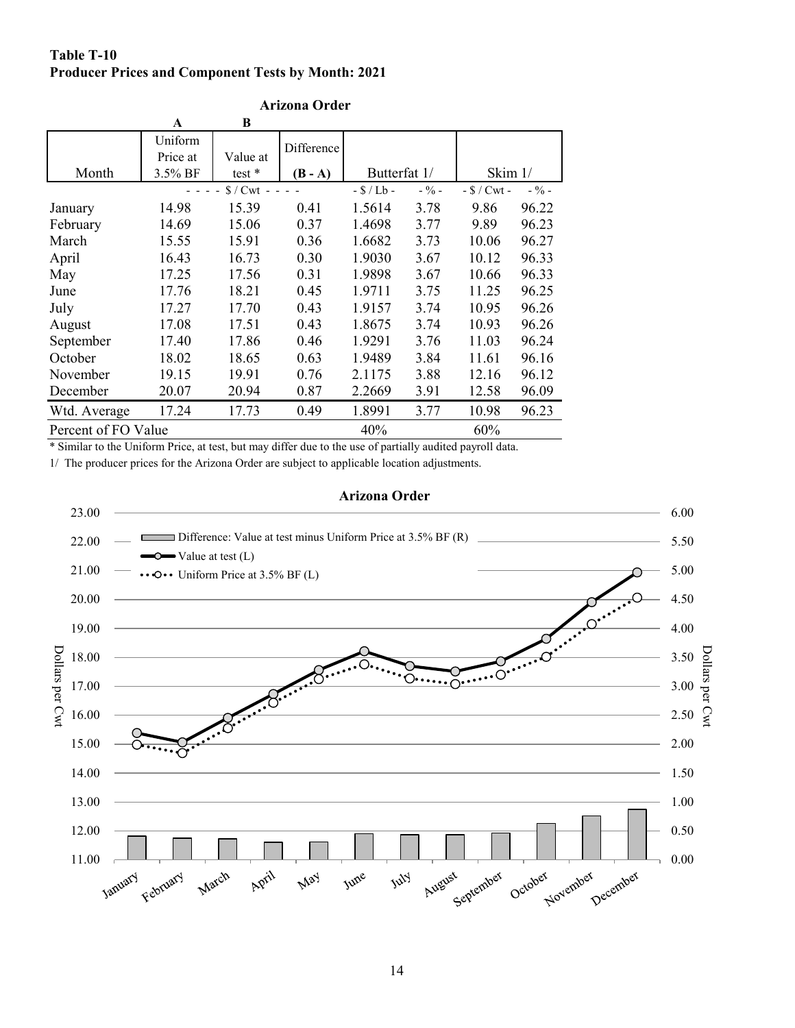#### **Table T-10 Producer Prices and Component Tests by Month: 2021**

|                     | A        | B                        |            |              |         |                |         |
|---------------------|----------|--------------------------|------------|--------------|---------|----------------|---------|
|                     | Uniform  |                          | Difference |              |         |                |         |
|                     | Price at | Value at                 |            |              |         |                |         |
| Month               | 3.5% BF  | test $*$                 | $(B - A)$  | Butterfat 1/ |         | Skim 1/        |         |
|                     |          | $\sqrt{$}$ / Cwt - - - - |            | $-S/Lb -$    | $-$ % – | $-$ \$ / Cwt - | $-$ % – |
| January             | 14.98    | 15.39                    | 0.41       | 1.5614       | 3.78    | 9.86           | 96.22   |
| February            | 14.69    | 15.06                    | 0.37       | 1.4698       | 3.77    | 9.89           | 96.23   |
| March               | 15.55    | 15.91                    | 0.36       | 1.6682       | 3.73    | 10.06          | 96.27   |
| April               | 16.43    | 16.73                    | 0.30       | 1.9030       | 3.67    | 10.12          | 96.33   |
| May                 | 17.25    | 17.56                    | 0.31       | 1.9898       | 3.67    | 10.66          | 96.33   |
| June                | 17.76    | 18.21                    | 0.45       | 1.9711       | 3.75    | 11.25          | 96.25   |
| July                | 17.27    | 17.70                    | 0.43       | 1.9157       | 3.74    | 10.95          | 96.26   |
| August              | 17.08    | 17.51                    | 0.43       | 1.8675       | 3.74    | 10.93          | 96.26   |
| September           | 17.40    | 17.86                    | 0.46       | 1.9291       | 3.76    | 11.03          | 96.24   |
| October             | 18.02    | 18.65                    | 0.63       | 1.9489       | 3.84    | 11.61          | 96.16   |
| November            | 19.15    | 19.91                    | 0.76       | 2.1175       | 3.88    | 12.16          | 96.12   |
| December            | 20.07    | 20.94                    | 0.87       | 2.2669       | 3.91    | 12.58          | 96.09   |
| Wtd. Average        | 17.24    | 17.73                    | 0.49       | 1.8991       | 3.77    | 10.98          | 96.23   |
| Percent of FO Value |          |                          |            | 40%          |         | 60%            |         |

#### **Arizona Order**

\* Similar to the Uniform Price, at test, but may differ due to the use of partially audited payroll data.

1/ The producer prices for the Arizona Order are subject to applicable location adjustments.

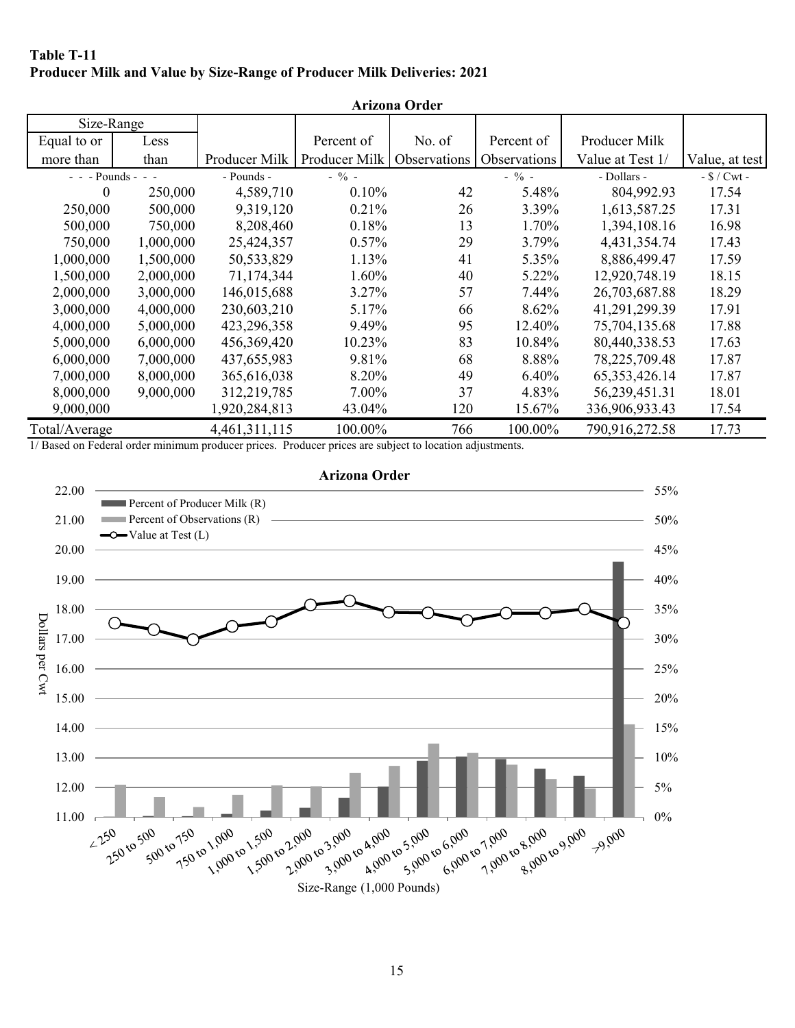#### **Table T-11 Producer Milk and Value by Size-Range of Producer Milk Deliveries: 2021**

| <b>Arizona Order</b> |           |               |               |              |              |                  |                |  |  |
|----------------------|-----------|---------------|---------------|--------------|--------------|------------------|----------------|--|--|
| Size-Range           |           |               |               |              |              |                  |                |  |  |
| Equal to or          | Less      |               | Percent of    | No. of       | Percent of   | Producer Milk    |                |  |  |
| more than            | than      | Producer Milk | Producer Milk | Observations | Observations | Value at Test 1/ | Value, at test |  |  |
| $- -$ - Pounds - - - |           | - Pounds -    | $-$ % -       |              | $-$ % -      | - Dollars -      | $-$ \$ / Cwt - |  |  |
| $\theta$             | 250,000   | 4,589,710     | 0.10%         | 42           | 5.48%        | 804,992.93       | 17.54          |  |  |
| 250,000              | 500,000   | 9,319,120     | 0.21%         | 26           | 3.39%        | 1,613,587.25     | 17.31          |  |  |
| 500,000              | 750,000   | 8,208,460     | 0.18%         | 13           | 1.70%        | 1,394,108.16     | 16.98          |  |  |
| 750,000              | 1,000,000 | 25,424,357    | 0.57%         | 29           | 3.79%        | 4,431,354.74     | 17.43          |  |  |
| 1,000,000            | 1,500,000 | 50,533,829    | 1.13%         | 41           | 5.35%        | 8,886,499.47     | 17.59          |  |  |
| 1,500,000            | 2,000,000 | 71,174,344    | 1.60%         | 40           | 5.22%        | 12,920,748.19    | 18.15          |  |  |
| 2,000,000            | 3,000,000 | 146,015,688   | 3.27%         | 57           | 7.44%        | 26,703,687.88    | 18.29          |  |  |
| 3,000,000            | 4,000,000 | 230,603,210   | 5.17%         | 66           | 8.62%        | 41,291,299.39    | 17.91          |  |  |
| 4,000,000            | 5,000,000 | 423,296,358   | 9.49%         | 95           | 12.40%       | 75,704,135.68    | 17.88          |  |  |
| 5,000,000            | 6,000,000 | 456,369,420   | 10.23%        | 83           | 10.84%       | 80,440,338.53    | 17.63          |  |  |
| 6,000,000            | 7,000,000 | 437,655,983   | 9.81%         | 68           | 8.88%        | 78,225,709.48    | 17.87          |  |  |
| 7,000,000            | 8,000,000 | 365,616,038   | 8.20%         | 49           | 6.40%        | 65, 353, 426. 14 | 17.87          |  |  |
| 8,000,000            | 9,000,000 | 312,219,785   | $7.00\%$      | 37           | 4.83%        | 56,239,451.31    | 18.01          |  |  |
| 9,000,000            |           | 1,920,284,813 | 43.04%        | 120          | 15.67%       | 336,906,933.43   | 17.54          |  |  |
| Total/Average        |           | 4,461,311,115 | 100.00%       | 766          | 100.00%      | 790,916,272.58   | 17.73          |  |  |

1/ Based on Federal order minimum producer prices. Producer prices are subject to location adjustments.



15